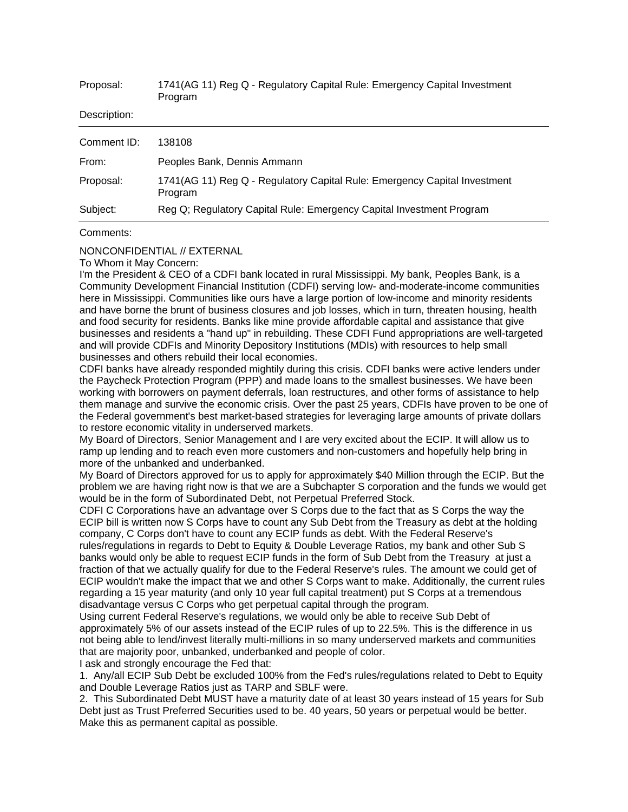| Proposal:    | 1741(AG 11) Reg Q - Regulatory Capital Rule: Emergency Capital Investment<br>Program |
|--------------|--------------------------------------------------------------------------------------|
| Description: |                                                                                      |
| Comment ID:  | 138108                                                                               |
| From:        | Peoples Bank, Dennis Ammann                                                          |
| Proposal:    | 1741(AG 11) Reg Q - Regulatory Capital Rule: Emergency Capital Investment<br>Program |
| Subject:     | Reg Q; Regulatory Capital Rule: Emergency Capital Investment Program                 |

## Comments:

## NONCONFIDENTIAL // EXTERNAL

To Whom it May Concern:

I'm the President & CEO of a CDFI bank located in rural Mississippi. My bank, Peoples Bank, is a Community Development Financial Institution (CDFI) serving low- and-moderate-income communities here in Mississippi. Communities like ours have a large portion of low-income and minority residents and have borne the brunt of business closures and job losses, which in turn, threaten housing, health and food security for residents. Banks like mine provide affordable capital and assistance that give businesses and residents a "hand up" in rebuilding. These CDFI Fund appropriations are well-targeted and will provide CDFIs and Minority Depository Institutions (MDIs) with resources to help small businesses and others rebuild their local economies.

CDFI banks have already responded mightily during this crisis. CDFI banks were active lenders under the Paycheck Protection Program (PPP) and made loans to the smallest businesses. We have been working with borrowers on payment deferrals, loan restructures, and other forms of assistance to help them manage and survive the economic crisis. Over the past 25 years, CDFIs have proven to be one of the Federal government's best market-based strategies for leveraging large amounts of private dollars to restore economic vitality in underserved markets.

My Board of Directors, Senior Management and I are very excited about the ECIP. It will allow us to ramp up lending and to reach even more customers and non-customers and hopefully help bring in more of the unbanked and underbanked.

My Board of Directors approved for us to apply for approximately \$40 Million through the ECIP. But the problem we are having right now is that we are a Subchapter S corporation and the funds we would get would be in the form of Subordinated Debt, not Perpetual Preferred Stock.

CDFI C Corporations have an advantage over S Corps due to the fact that as S Corps the way the ECIP bill is written now S Corps have to count any Sub Debt from the Treasury as debt at the holding company, C Corps don't have to count any ECIP funds as debt. With the Federal Reserve's rules/regulations in regards to Debt to Equity & Double Leverage Ratios, my bank and other Sub S banks would only be able to request ECIP funds in the form of Sub Debt from the Treasury at just a fraction of that we actually qualify for due to the Federal Reserve's rules. The amount we could get of ECIP wouldn't make the impact that we and other S Corps want to make. Additionally, the current rules regarding a 15 year maturity (and only 10 year full capital treatment) put S Corps at a tremendous disadvantage versus C Corps who get perpetual capital through the program.

Using current Federal Reserve's regulations, we would only be able to receive Sub Debt of approximately 5% of our assets instead of the ECIP rules of up to 22.5%. This is the difference in us not being able to lend/invest literally multi-millions in so many underserved markets and communities that are majority poor, unbanked, underbanked and people of color.

I ask and strongly encourage the Fed that:

1. Any/all ECIP Sub Debt be excluded 100% from the Fed's rules/regulations related to Debt to Equity and Double Leverage Ratios just as TARP and SBLF were.

2. This Subordinated Debt MUST have a maturity date of at least 30 years instead of 15 years for Sub Debt just as Trust Preferred Securities used to be. 40 years, 50 years or perpetual would be better. Make this as permanent capital as possible.